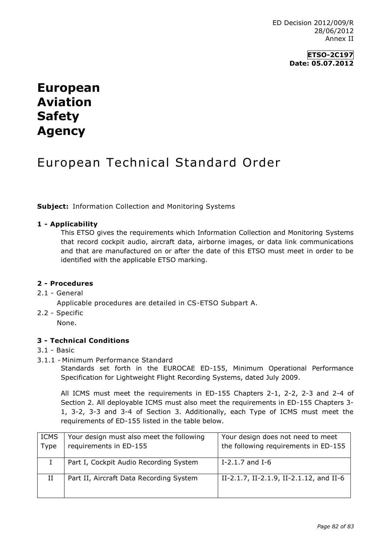ED Decision 2012/009/R 28/06/2012 Annex II

## **ETSO-2C197 Date: 05.07.2012**

# **European Aviation Safety Agency**

# European Technical Standard Order

**Subject:** Information Collection and Monitoring Systems

## **1 - Applicability**

This ETSO gives the requirements which Information Collection and Monitoring Systems that record cockpit audio, aircraft data, airborne images, or data link communications and that are manufactured on or after the date of this ETSO must meet in order to be identified with the applicable ETSO marking.

#### **2 - Procedures**

#### 2.1 - General

Applicable procedures are detailed in CS-ETSO Subpart A.

2.2 - Specific

None.

#### **3 - Technical Conditions**

- 3.1 Basic
- 3.1.1 Minimum Performance Standard

Standards set forth in the EUROCAE ED-155, Minimum Operational Performance Specification for Lightweight Flight Recording Systems, dated July 2009.

All ICMS must meet the requirements in ED-155 Chapters 2-1, 2-2, 2-3 and 2-4 of Section 2. All deployable ICMS must also meet the requirements in ED-155 Chapters 3- 1, 3-2, 3-3 and 3-4 of Section 3. Additionally, each Type of ICMS must meet the requirements of ED-155 listed in the table below.

| <b>ICMS</b> | Your design must also meet the following | Your design does not need to meet       |
|-------------|------------------------------------------|-----------------------------------------|
| Type        | requirements in ED-155                   | the following requirements in ED-155    |
|             |                                          |                                         |
|             | Part I, Cockpit Audio Recording System   | I-2.1.7 and I-6                         |
| H           | Part II, Aircraft Data Recording System  | II-2.1.7, II-2.1.9, II-2.1.12, and II-6 |
|             |                                          |                                         |